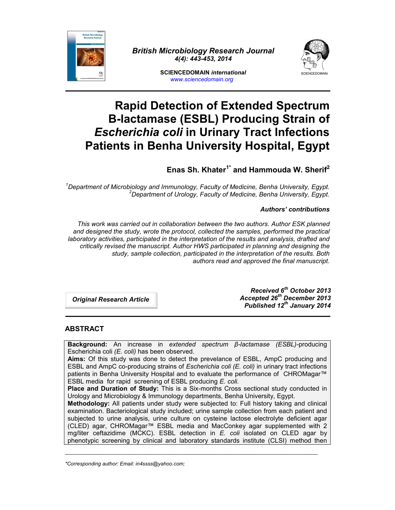

*British Microbiology Research Journal 4(4): 443-453, 2014*



**SCIENCEDOMAIN** *international www.sciencedomain.org*

# **Rapid Detection of Extended Spectrum Β-lactamase (ESBL) Producing Strain of** *Escherichia coli***in Urinary Tract Infections Patients in Benha University Hospital, Egypt**

**Enas Sh. Khater1\* and Hammouda W. Sherif<sup>2</sup>**

*<sup>1</sup>Department of Microbiology and Immunology, Faculty of Medicine, Benha University, Egypt. <sup>2</sup>Department of Urology, Faculty of Medicine, Benha University, Egypt.*

## *Authors' contributions*

*This work was carried out in collaboration between the two authors. Author ESK planned and designed the study, wrote the protocol, collected the samples, performed the practical laboratory activities, participated in the interpretation of the results and analysis, drafted and critically revised the manuscript. Author HWS participated in planning and designing the study, sample collection, participated in the interpretation of the results. Both authors read and approved the final manuscript.*

*Original Research Article*

*Received 6 th October 2013 Accepted 26th December 2013 Published 12 th January 2014*

# **ABSTRACT**

**Background:** An increase in *extended spectrum β-lactamase (ESBL)-*producing Escherichia coli *(E. coli)* has been observed.

**Aims:** Of this study was done to detect the prevelance of ESBL, AmpC producing and ESBL and AmpC co-producing strains of *Escherichia coli (E. coli)* in urinary tract infections patients in Benha University Hospital and to evaluate the performance of CHROMagar™ ESBL media for rapid screening of ESBL producing *E. coli.*

**Place and Duration of Study:** This is a Six-months Cross sectional study conducted in Urology and Microbiology & Immunology departments, Benha University, Egypt.

**Methodology:** All patients under study were subjected to: Full history taking and clinical examination. Bacteriological study included; urine sample collection from each patient and subjected to urine analysis, urine culture on cysteine lactose electrolyte deficient agar (CLED) agar, CHROMagar™ ESBL media and MacConkey agar supplemented with 2 mg/liter ceftazidime (MCKC). ESBL detection in *E. coli* isolated on CLED agar by phenotypic screening by clinical and laboratory standards institute (CLSI) method then

\_\_\_\_\_\_\_\_\_\_\_\_\_\_\_\_\_\_\_\_\_\_\_\_\_\_\_\_\_\_\_\_\_\_\_\_\_\_\_\_\_\_\_\_\_\_\_\_\_\_\_\_\_\_\_\_\_\_\_\_\_\_\_\_\_\_\_\_\_\_\_\_\_\_\_\_\_\_\_\_\_\_\_\_\_\_\_\_

*<sup>\*</sup>Corresponding author: Email: in4ssss@yahoo.com;*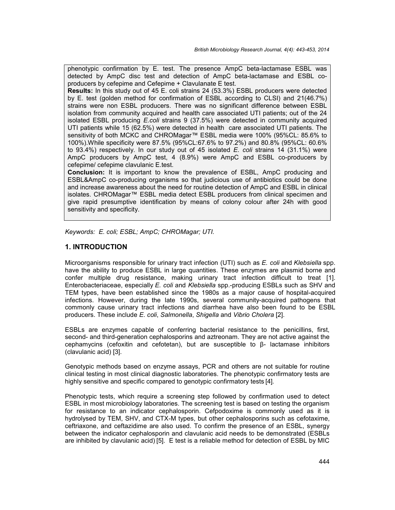phenotypic confirmation by E. test. The presence AmpC beta-lactamase ESBL was detected by AmpC disc test and detection of AmpC beta-lactamase and ESBL co producers by cefepime and Cefepime + Clavulanate E test.

**Results:** In this study out of 45 E. coli strains 24 (53.3%) ESBL producers were detected by E. test (golden method for confirmation of ESBL according to CLSI) and 21(46.7%) strains were non ESBL producers. There was no significant difference between ESBL isolation from community acquired and health care associated UTI patients; out of the 24 isolated ESBL producing *E.coli* strains 9 (37.5%) were detected in community acquired UTI patients while 15 (62.5%) were detected in health care associated UTI patients. The sensitivity of both MCKC and CHROMagar™ ESBL media were 100% (95%CL: 85.6% to 100%).While specificity were 87.5% (95%CL:67.6% to 97.2%) and 80.8% (95%CL: 60.6% to 93.4%) respectively. In our study out of 45 isolated *E. coli* strains 14 (31.1%) were AmpC producers by AmpC test, 4 (8.9%) were AmpC and ESBL co-producers by cefepime/ cefepime clavulanic E.test.

**Conclusion:** It is important to know the prevalence of ESBL, AmpC producing and ESBL&AmpC co-producing organisms so that judicious use of antibiotics could be done and increase awareness about the need for routine detection of AmpC and ESBL in clinical isolates. CHROMagar™ ESBL media detect ESBL producers from clinical specimen and give rapid presumptive identification by means of colony colour after 24h with good sensitivity and specificity.

*Keywords: E. coli; ESBL; AmpC; CHROMagar; UTI.*

## **1. INTRODUCTION**

Microorganisms responsible for urinary tract infection (UTI) such as *E. coli* and *Klebsiella* spp. have the ability to produce ESBL in large quantities. These enzymes are plasmid borne and confer multiple drug resistance, making urinary tract infection difficult to treat [1]. Enterobacteriaceae, especially *E. coli* and *Klebsiella* spp.-producing ESBLs such as SHV and TEM types, have been established since the 1980s as a major cause of hospital-acquired infections. However, during the late 1990s, several community-acquired pathogens that commonly cause urinary tract infections and diarrhea have also been found to be ESBL producers. These include *E. coli*, *Salmonella*, *Shigella* and *Vibrio Cholera* [2].

ESBLs are enzymes capable of conferring bacterial resistance to the penicillins, first, second- and third-generation cephalosporins and aztreonam. They are not active against the cephamycins (cefoxitin and cefotetan), but are susceptible to β- lactamase inhibitors (clavulanic acid) [3].

Genotypic methods based on enzyme assays, PCR and others are not suitable for routine clinical testing in most clinical diagnostic laboratories. The phenotypic confirmatory tests are highly sensitive and specific compared to genotypic confirmatory tests [4]*.*

Phenotypic tests, which require a screening step followed by confirmation used to detect ESBL in most microbiology laboratories. The screening test is based on testing the organism for resistance to an indicator cephalosporin. Cefpodoxime is commonly used as it is hydrolysed by TEM, SHV, and CTX-M types, but other cephalosporins such as cefotaxime, ceftriaxone, and ceftazidime are also used. To confirm the presence of an ESBL, synergy between the indicator cephalosporin and clavulanic acid needs to be demonstrated (ESBLs are inhibited by clavulanic acid) [5]. E test is a reliable method for detection of ESBL by MIC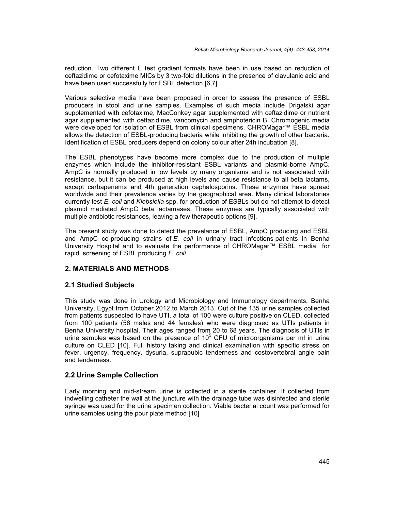reduction. Two different E test gradient formats have been in use based on reduction of ceftazidime or cefotaxime MICs by 3 two-fold dilutions in the presence of clavulanic acid and have been used successfully for ESBL detection [6,7].

Various selective media have been proposed in order to assess the presence of ESBL producers in stool and urine samples. Examples of such media include Drigalski agar supplemented with cefotaxime, MacConkey agar supplemented with ceftazidime or nutrient agar supplemented with ceftazidime, vancomycin and amphotericin B. Chromogenic media were developed for isolation of ESBL from clinical specimens. CHROMagar™ ESBL media allows the detection of ESBL-producing bacteria while inhibiting the growth of other bacteria. Identification of ESBL producers depend on colony colour after 24h incubation [8].

The ESBL phenotypes have become more complex due to the production of multiple enzymes which include the inhibitor-resistant ESBL variants and plasmid-borne AmpC. AmpC is normally produced in low levels by many organisms and is not associated with resistance, but it can be produced at high levels and cause resistance to all beta lactams, except carbapenems and 4th generation cephalosporins. These enzymes have spread worldwide and their prevalence varies by the geographical area. Many clinical laboratories currently test *E. coli* and *Klebsiella* spp. for production of ESBLs but do not attempt to detect plasmid mediated AmpC beta lactamases. These enzymes are typically associated with multiple antibiotic resistances, leaving a few therapeutic options [9].

The present study was done to detect the prevelance of ESBL, AmpC producing and ESBL and AmpC co-producing strains of *E. coli* in urinary tract infections patients in Benha University Hospital and to evaluate the performance of CHROMagar™ ESBL media for rapid screening of ESBL producing *E. coli.*

# **2. MATERIALS AND METHODS**

## **2.1 Studied Subjects**

This study was done in Urology and Microbiology and Immunology departments, Benha University, Egypt from October 2012 to March 2013. Out of the 135 urine samples collected from patients suspected to have UTI, a total of 100 were culture positive on CLED, collected from 100 patients (56 males and 44 females) who were diagnosed as UTIs patients in Benha University hospital. Their ages ranged from 20 to 68 years. The diagnosis of UTIs in urine samples was based on the presence of  $10^5$  CFU of microorganisms per ml in urine culture on CLED [10]. Full history taking and clinical examination with specific stress on fever, urgency, frequency, dysuria, suprapubic tenderness and costovertebral angle pain and tenderness.

## **2.2 Urine Sample Collection**

Early morning and mid-stream urine is collected in a sterile container. If collected from indwelling catheter the wall at the juncture with the drainage tube was disinfected and sterile syringe was used for the urine specimen collection. Viable bacterial count was performed for urine samples using the pour plate method [10]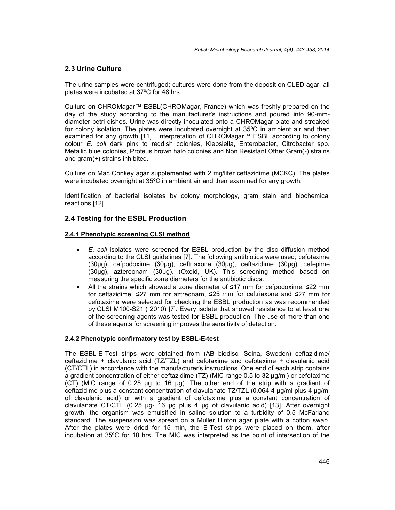## **2.3 Urine Culture**

The urine samples were centrifuged; cultures were done from the deposit on CLED agar, all plates were incubated at 37ºC for 48 hrs.

Culture on CHROMagar™ ESBL(CHROMagar, France) which was freshly prepared on the day of the study according to the manufacturer's instructions and poured into 90-mm diameter petri dishes. Urine was directly inoculated onto a CHROMagar plate and streaked for colony isolation. The plates were incubated overnight at 35ºC in ambient air and then examined for any growth [11]. Interpretation of CHROMagar™ ESBL according to colony colour *E. coli* dark pink to reddish colonies, Klebsiella, Enterobacter, Citrobacter spp. Metallic blue colonies, Proteus brown halo colonies and Non Resistant Other Gram(-) strains and gram(+) strains inhibited.

Culture on Mac Conkey agar supplemented with 2 mg/liter ceftazidime (MCKC). The plates were incubated overnight at 35ºC in ambient air and then examined for any growth.

Identification of bacterial isolates by colony morphology, gram stain and biochemical reactions [12]

## **2.4 Testing for the ESBL Production**

#### **2.4.1 Phenotypic screening CLSI method**

- *E. coli* isolates were screened for ESBL production by the disc diffusion method according to the CLSI guidelines [7]. The following antibiotics were used; cefotaxime (30μg), cefpodoxime (30μg), ceftriaxone (30μg), ceftazidime (30μg), cefepime (30μg), aztereonam (30μg). (Oxoid, UK). This screening method based on measuring the specific zone diameters for the antibiotic discs.
- All the strains which showed a zone diameter of ≤17 mm for cefpodoxime, ≤22 mm for ceftazidime, ≤27 mm for aztreonam, ≤25 mm for ceftriaxone and ≤27 mm for cefotaxime were selected for checking the ESBL production as was recommended by CLSI M100-S21 ( 2010) [7]. Every isolate that showed resistance to at least one of the screening agents was tested for ESBL production. The use of more than one of these agents for screening improves the sensitivity of detection.

## **2.4.2 Phenotypic confirmatory test by ESBL-E-test**

The ESBL-E-Test strips were obtained from (AB biodisc, Solna, Sweden) ceftazidime/ ceftazidime + clavulanic acid (TZ/TZL) and cefotaxime and cefotaxime + clavulanic acid (CT/CTL) in accordance with the manufacturer's instructions. One end of each strip contains a gradient concentration of either ceftazidime (TZ) (MIC range 0.5 to 32 μg/ml) or cefotaxime (CT) (MIC range of 0.25 μg to 16 μg). The other end of the strip with a gradient of ceftazidime plus a constant concentration of clavulanate TZ/TZL (0.064-4 μg/ml plus 4 μg/ml of clavulanic acid) or with a gradient of cefotaxime plus a constant concentration of clavulanate CT/CTL (0.25 μg- 16 μg plus 4 μg of clavulanic acid) [13]. After overnight growth, the organism was emulsified in saline solution to a turbidity of 0.5 McFarland standard. The suspension was spread on a Muller Hinton agar plate with a cotton swab. After the plates were dried for 15 min, the E-Test strips were placed on them, after incubation at 35ºC for 18 hrs. The MIC was interpreted as the point of intersection of the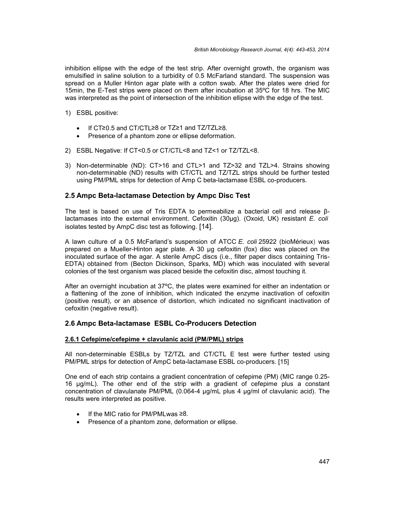inhibition ellipse with the edge of the test strip. After overnight growth, the organism was emulsified in saline solution to a turbidity of 0.5 McFarland standard. The suspension was spread on a Muller Hinton agar plate with a cotton swab. After the plates were dried for 15min, the E-Test strips were placed on them after incubation at 35ºC for 18 hrs. The MIC was interpreted as the point of intersection of the inhibition ellipse with the edge of the test.

- 1) ESBL positive:
	- If CT≥0.5 and CT/CTL≥8 or TZ≥1 and TZ/TZL≥8.
	- Presence of a phantom zone or ellipse deformation.
- 2) ESBL Negative: If CT<0.5 or CT/CTL<8 and TZ<1 or TZ/TZL<8.
- 3) Non-determinable (ND): CT>16 and CTL>1 and TZ>32 and TZL>4. Strains showing non-determinable (ND) results with CT/CTL and TZ/TZL strips should be further tested using PM/PML strips for detection of Amp C beta-lactamase ESBL co-producers.

#### **2.5 Ampc Beta-lactamase Detection by Ampc Disc Test**

The test is based on use of Tris EDTA to permeabilize a bacterial cell and release βlactamases into the external environment. Cefoxitin (30μg). (Oxoid, UK) resistant *E. coli* isolates tested by AmpC disc test as following. [14].

A lawn culture of a 0.5 McFarland's suspension of ATCC *E. coli* 25922 (bioMérieux) was prepared on a Mueller-Hinton agar plate. A 30 μg cefoxitin (fox) disc was placed on the inoculated surface of the agar. A sterile AmpC discs (i.e., filter paper discs containing Tris- EDTA) obtained from (Becton Dickinson, Sparks, MD) which was inoculated with several colonies of the test organism was placed beside the cefoxitin disc, almost touching it.

After an overnight incubation at 37ºC, the plates were examined for either an indentation or a flattening of the zone of inhibition, which indicated the enzyme inactivation of cefoxitin (positive result), or an absence of distortion, which indicated no significant inactivation of cefoxitin (negative result).

#### **2.6 Ampc Beta-lactamase ESBL Co-Producers Detection**

#### **2.6.1 Cefepime/cefepime + clavulanic acid (PM/PML) strips**

All non-determinable ESBLs by TZ/TZL and CT/CTL E test were further tested using PM/PML strips for detection of AmpC beta-lactamase ESBL co-producers. [15]

One end of each strip contains a gradient concentration of cefepime (PM) (MIC range 0.25- 16 µg/mL). The other end of the strip with a gradient of cefepime plus a constant concentration of clavulanate PM/PML (0.064-4 µg/mL plus 4 μg/ml of clavulanic acid). The results were interpreted as positive.

- If the MIC ratio for PM/PMLwas ≥8.
- Presence of a phantom zone, deformation or ellipse.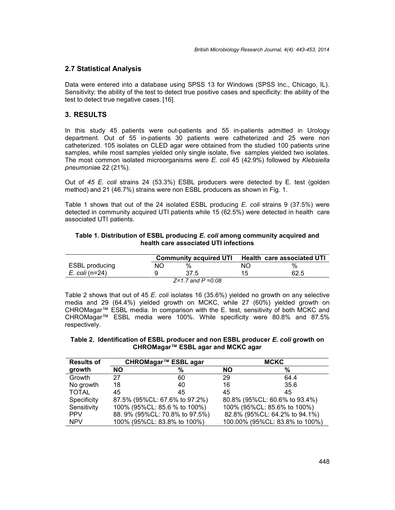## **2.7 Statistical Analysis**

Data were entered into a database using SPSS 13 for Windows (SPSS Inc., Chicago, IL). Sensitivity: the ability of the test to detect true positive cases and specificity: the ability of the test to detect true negative cases. [16].

### **3. RESULTS**

In this study 45 patients were out-patients and 55 in-patients admitted in Urology department. Out of 55 in-patients 30 patients were catheterized and 25 were non catheterized. 105 isolates on CLED agar were obtained from the studied 100 patients urine samples, while most samples yielded only single isolate, five samples yielded two isolates. The most common isolated microorganisms were *E. coli* 45 (42.9%) followed by *Klebsiella pneumonia*e 22 (21%).

Out of *45 E. coli* strains 24 (53.3%) ESBL producers were detected by E. test (golden method) and 21 (46.7%) strains were non ESBL producers as shown in Fig. 1.

Table 1 shows that out of the 24 isolated ESBL producing *E. coli* strains 9 (37.5%) were detected in community acquired UTI patients while 15 (62.5%) were detected in health care associated UTI patients.

#### **Table 1. Distribution of ESBL producing** *E. coli* **among community acquired and health care associated UTI infections**

|                       |    |                          | Community acquired UTI Health care associated UTI |      |  |
|-----------------------|----|--------------------------|---------------------------------------------------|------|--|
| <b>ESBL</b> producing | NΟ | %                        | NO.                                               | %    |  |
| <i>E. coli</i> (n=24) |    | 37.5                     | 15.                                               | 62.5 |  |
|                       |    | $Z = 1.7$ and $P = 0.08$ |                                                   |      |  |

Table 2 shows that out of 45 *E. coli* isolates 16 (35.6%) yielded no growth on any selective media and 29 (64.4%) yielded growth on MCKC, while 27 (60%) yielded growth on CHROMagar™ ESBL media. In comparison with the E. test, sensitivity of both MCKC and CHROMagar™ ESBL media were 100%. While specificity were 80.8% and 87.5% respectively.

#### **Table 2. Identification of ESBL producer and non ESBL producer** *E. coli* **growth on CHROMagar™ ESBL agar and MCKC agar**

| CHROMagar™ ESBL agar<br><b>Results of</b> |           |                                | <b>MCKC</b> |                                |  |
|-------------------------------------------|-----------|--------------------------------|-------------|--------------------------------|--|
| growth                                    | <b>NO</b> | %                              | <b>NO</b>   | %                              |  |
| Growth                                    | 27        | 60                             | 29          | 64.4                           |  |
| No growth                                 | 18        | 40                             | 16          | 35.6                           |  |
| <b>TOTAL</b>                              | 45        | 45                             | 45          | 45                             |  |
| Specificity                               |           | 87.5% (95%CL: 67.6% to 97.2%)  |             | 80.8% (95%CL: 60.6% to 93.4%)  |  |
| Sensitivity                               |           | 100% (95%CL: 85.6 % to 100%)   |             | 100% (95%CL: 85.6% to 100%)    |  |
| <b>PPV</b>                                |           | 88. 9% (95%CL: 70.8% to 97.5%) |             | 82.8% (95%CL: 64.2% to 94.1%)  |  |
| <b>NPV</b>                                |           | 100% (95%CL: 83.8% to 100%)    |             | 100.00% (95%CL: 83.8% to 100%) |  |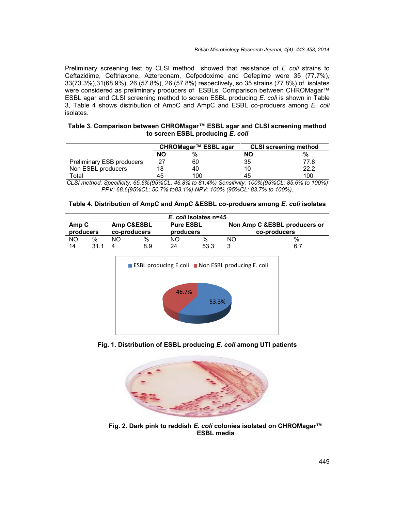Preliminary screening test by CLSI method showed that resistance of *E coli* strains to Ceftazidime, Ceftriaxone, Aztereonam, Cefpodoxime and Cefepime were 35 (77.7%), 33(73.3%),31(68.9%), 26 (57.8%), 26 (57.8%) respectively, so 35 strains (77.8%) of isolates were considered as preliminary producers of ESBLs. Comparison between CHROMagar™ were considered as preliminary producers of ESBLs. Comparison between CHROMagar™<br>ESBL agar and CLSI screening method to screen ESBL producing *E. coli* is shown in Table 3, Table 4 shows distribution of AmpC and AmpC and ESBL co-produers among *E. coli* isolates. Preliminary screening test by CLSI method showed that resistance of *E coli* strains to<br>Ceftazidime, Ceftriaxone, Aztereonam, Cefpodoxime and Cefepime were 35 (77.7%),<br>33(73.3%),31(68.9%), 26 (57.8%), 26 (57.8%) respectiv

| Table 3. Comparison between CHROMagar™ ESBL agar and CLSI screening method |  |
|----------------------------------------------------------------------------|--|
| to screen ESBL producing E. coli                                           |  |

|                           | CHROMagar™ ESBL agar |     | <b>CLSI</b> screening method |      |
|---------------------------|----------------------|-----|------------------------------|------|
|                           | NΟ                   |     | NΟ                           |      |
| Preliminary ESB producers |                      | 60  | 35                           | 77.8 |
| Non ESBL producers        |                      | 40  | 10                           | 22.2 |
| Total                     | 45                   | 100 | 45                           | 100  |

*CLSI method: Specificity: 65.6%(95%CL: 46.8% to 81.4%) Sensitivity: 100%(95%CL: 85.6% to 100%) to PPV: 68.6(95%CL: 50.7% to83.1%) NPV: 100% (95%CL: 83.7% to 100%). 65.6%(95%CL: 46.8% to 81.4%)100%*

| Table 4. Distribution of AmpC and AmpC &ESBL co-produers among E. coli isolates |
|---------------------------------------------------------------------------------|
|---------------------------------------------------------------------------------|

| E. coli isolates n=45 |      |                            |     |                               |      |                                               |      |
|-----------------------|------|----------------------------|-----|-------------------------------|------|-----------------------------------------------|------|
| Amp C<br>producers    |      | Amp C&ESBL<br>co-producers |     | <b>Pure ESBL</b><br>producers |      | Non Amp C & ESBL producers or<br>co-producers |      |
| NΟ                    | $\%$ | NO.                        | %   | NO.                           | %    | NΟ                                            | $\%$ |
| 14                    | 311  |                            | 8.9 | 24                            | 53.3 | ?                                             | 6.7  |



**Fig. 1. Distribution of ESBL producing** *E. coli* **among UTI patients Fig. ESBL producing***E. coli*



**Fig. 2. Dark pink to reddish** *E. coli* **colonies isolated on CHROMagar™ Fig.Dark ESBL media**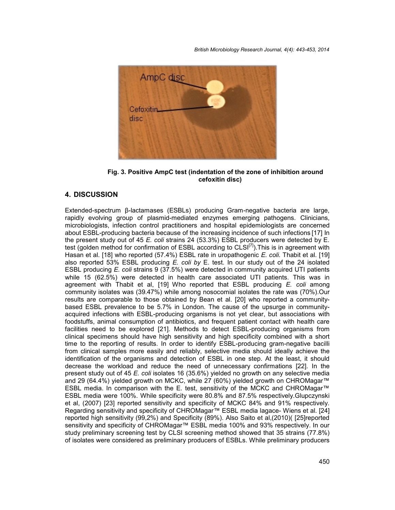*British Microbiology Research Journal, 4(4): 443-453, 2014*



**Fig. 3. Positive AmpC test (indentation of the zone of inhibition around cefoxitin disc)**

## **4. DISCUSSION**

Extended-spectrum β-lactamases (ESBLs) producing Gram-negative bacteria are large, rapidly evolving group of plasmid-mediated enzymes emerging pathogens. Clinicians, microbiologists, infection control practitioners and hospital epidemiologists are concerned about ESBL-producing bacteria because of the increasing incidence of such infections [17] In the present study out of 45 *E. coli* strains 24 (53.3%) ESBL producers were detected by E. test (golden method for confirmation of ESBL according to  $CLSI^{[7]}$ ). This is in agreement with Hasan et al. [18] who reported (57.4%) ESBL rate in uropathogenic *E. coli.* Thabit et al. [19] also reported 53% ESBL producing *E. coli by* E. test. In our study out of the 24 isolated ESBL producing *E. coli* strains 9 (37.5%) were detected in community acquired UTI patients while 15 (62.5%) were detected in health care associated UTI patients. This was in agreement with Thabit et al, [19] Who reported that ESBL producing *E. coli* among community isolates was (39.47%) while among nosocomial isolates the rate was (70%).Our results are comparable to those obtained by Bean et al. [20] who reported a community based ESBL prevalence to be 5.7% in London. The cause of the upsurge in community acquired infections with ESBL-producing organisms is not yet clear, but associations with foodstuffs, animal consumption of antibiotics, and frequent patient contact with health care facilities need to be explored [21]. Methods to detect ESBL-producing organisms from clinical specimens should have high sensitivity and high specificity combined with a short time to the reporting of results. In order to identify ESBL-producing gram-negative bacilli from clinical samples more easily and reliably, selective media should ideally achieve the identification of the organisms and detection of ESBL in one step. At the least, it should decrease the workload and reduce the need of unnecessary confirmations [22]. In the present study out of 45 *E. coli* isolates 16 (35.6%) yielded no growth on any selective media and 29 (64.4%) yielded growth on MCKC, while 27 (60%) yielded growth on CHROMagar™ ESBL media. In comparison with the E. test, sensitivity of the MCKC and CHROMagar™ ESBL media were 100%. While specificity were 80.8% and 87.5% respectively.Glupczynski et al, (2007) [23] reported sensitivity and specificity of MCKC 84% and 91% respectively. Regarding sensitivity and specificity of CHROMagar™ ESBL media lagace- Wiens et al. [24] reported high sensitivity (99,2%) and Specificity (89%). Also Saito et al,(2010)( [25]reported sensitivity and specificity of CHROMagar<sup>™</sup> ESBL media 100% and 93% respectively. In our study preliminary screening test by CLSI screening method showed that 35 strains (77.8%) of isolates were considered as preliminary producers of ESBLs. While preliminary producers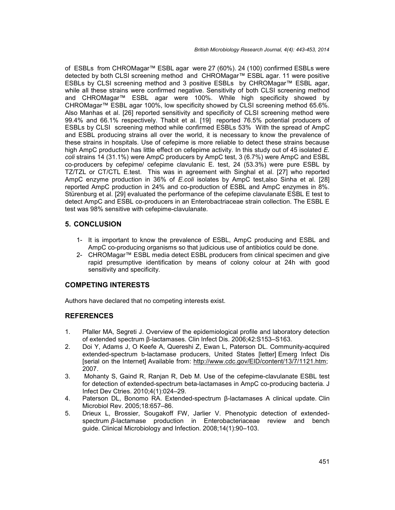of ESBLs from CHROMagar™ ESBL agar were 27 (60%). 24 (100) confirmed ESBLs were detected by both CLSI screening method and CHROMagar™ ESBL agar. 11 were positive ESBLs by CLSI screening method and 3 positive ESBLs by CHROMagar™ ESBL agar, while all these strains were confirmed negative. Sensitivity of both CLSI screening method and CHROMagar™ ESBL agar were 100%. While high specificity showed by CHROMagar™ ESBL agar 100%, low specificity showed by CLSI screening method 65.6%. Also Manhas et al. [26] reported sensitivity and specificity of CLSI screening method were 99.4% and 66.1% respectively. Thabit et al. [19] reported 76.5% potential producers of ESBLs by CLSI screening method while confirmed ESBLs 53% With the spread of AmpC and ESBL producing strains all over the world, it is necessary to know the prevalence of these strains in hospitals. Use of cefepime is more reliable to detect these strains because high AmpC production has little effect on cefepime activity. In this study out of 45 isolated *E. coli* strains 14 (31.1%) were AmpC producers by AmpC test, 3 (6.7%) were AmpC and ESBL co-producers by cefepime/ cefepime clavulanic E. test, 24 (53.3%) were pure ESBL by TZ/TZL or CT/CTL E.test. This was in agreement with Singhal et al. [27] who reported AmpC enzyme production in 36% of *E.coli* isolates by AmpC test,also Sinha et al. [28] reported AmpC production in 24% and co-production of ESBL and AmpC enzymes in 8%. Stürenburg et al. [29] evaluated the performance of the cefepime clavulanate ESBL E test to detect AmpC and ESBL co-producers in an Enterobactriaceae strain collection. The ESBL E test was 98% sensitive with cefepime-clavulanate.

## **5. CONCLUSION**

- 1- It is important to know the prevalence of ESBL, AmpC producing and ESBL and AmpC co-producing organisms so that judicious use of antibiotics could be done.
- 2- CHROMagar™ ESBL media detect ESBL producers from clinical specimen and give rapid presumptive identification by means of colony colour at 24h with good sensitivity and specificity.

## **COMPETING INTERESTS**

Authors have declared that no competing interests exist.

## **REFERENCES**

- 1. Pfaller MA, Segreti J. Overview of the epidemiological profile and laboratory detection of extended spectrum β-lactamases. Clin Infect Dis. 2006;42:S153–S163.
- 2. Doi Y, Adams J, O Keefe A, Quereshi Z, Ewan L, Paterson DL. Community-acquired extended-spectrum b-lactamase producers, United States [letter] Emerg Infect Dis [serial on the Internet] Available from: http://www.cdc.gov/EID/content/13/7/1121.htm; 2007.
- 3. Mohanty S, Gaind R, Ranjan R, Deb M. Use of the cefepime-clavulanate ESBL test for detection of extended-spectrum beta-lactamases in AmpC co-producing bacteria. J Infect Dev Ctries. 2010;4(1):024–29.
- 4. Paterson DL,Bonomo RA. Extended-spectrum β-lactamases A clinical update. Clin Microbiol Rev. 2005;18:657–86.
- 5. Drieux L, Brossier, Sougakoff FW, Jarlier V. Phenotypic detection of extended spectrum *β*-lactamase production in Enterobacteriaceae review and bench guide. Clinical Microbiology and Infection. 2008;14(1):90–103.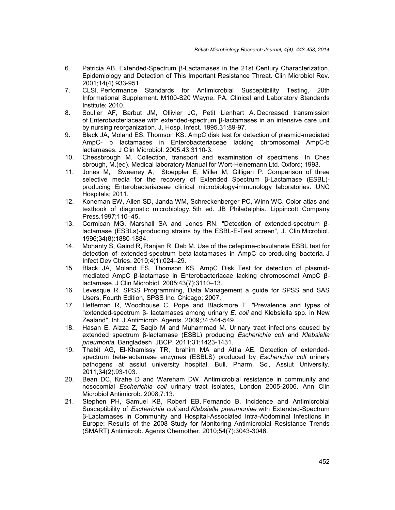- 6. Patricia AB. Extended-Spectrum β-Lactamases in the 21st Century Characterization, Epidemiology and Detection of This Important Resistance Threat. Clin Microbiol Rev. 2001;14(4).933-951.
- 7. CLSI. Performance Standards for Antimicrobial Susceptibility Testing, 20th Informational Supplement. M100-S20 Wayne, PA. Clinical and Laboratory Standards Institute; 2010.
- 8. Soulier AF, Barbut JM, Ollivier JC, Petit Lienhart A. Decreased transmission of Enterobacteriaceae with extended-spectrum β-lactamases in an intensive care unit by nursing reorganization. J, Hosp, Infect. 1995.31:89-97.
- 9. Black JA, Moland ES, Thomson KS. AmpC disk test for detection of plasmid-mediated AmpC- b lactamases in Enterobacteriaceae lacking chromosomal AmpC-b lactamases. J Clin Microbiol. 2005;43:3110-3.
- 10. Chessbrough M. Collection, transport and examination of specimens. In Ches sbrough, M.(ed). Medical laboratory Manual for Wort-Heinemann Ltd. Oxford; 1993.
- 11. Jones M, Sweeney A, Stoeppler E, Miller M, Gilligan P. Comparison of three selective media for the recovery of Extended Spectrum β-Lactamase (ESBL) producing Enterobacteriaceae clinical microbiology-immunology laboratories. UNC Hospitals; 2011.
- 12. Koneman EW, Allen SD, Janda WM, Schreckenberger PC, Winn WC. Color atlas and textbook of diagnostic microbiology. 5th ed. JB Philadelphia. Lippincott Company Press.1997;110–45.
- 13. Cormican MG, Marshall SA and Jones RN. "Detection of extended-spectrum βlactamase (ESBLs)-producing strains by the ESBL-E-Test screen", J. Clin.Microbiol. 1996;34(8):1880-1884.
- 14. Mohanty S, Gaind R, Ranjan R, Deb M. Use of the cefepime-clavulanate ESBL test for detection of extended-spectrum beta-lactamases in AmpC co-producing bacteria. J Infect Dev Ctries. 2010;4(1):024–29.
- 15. Black JA, Moland ES, Thomson KS. AmpC Disk Test for detection of plasmid mediated AmpC β-lactamase in Enterobacteriacae lacking chromosomal AmpC βlactamase. J Clin Microbiol. 2005;43(7):3110–13.
- 16. Levesque R. SPSS Programming, Data Management a guide for SPSS and SAS Users, Fourth Edition, SPSS Inc. Chicago; 2007.
- 17. Heffernan R, Woodhouse C, Pope and Blackmore T. "Prevalence and types of "extended-spectrum β- lactamases among urinary *E. coli* and Klebsiella spp. in New Zealand", Int. J.Antimicrob. Agents. 2009;34:544-549.
- 18. Hasan E, Aizza Z, Saqib M and Muhammad M. Urinary tract infections caused by extended spectrum β-lactamase (ESBL) producing *Escherichia coli* and *Klebsiella pneumonia.* Bangladesh JBCP. 2011;31:1423-1431.
- 19. Thabit AG, El-Khamissy TR, Ibrahim MA and Attia AE. Detection of extended spectrum beta-lactamase enzymes (ESBLS) produced by *Escherichia coli* urinary pathogens at assiut university hospital. Bull. Pharm. Sci, Assiut University. 2011;34(2):93-103.
- 20. Bean DC, Krahe D and Wareham DW. Antimicrobial resistance in community and nosocomial *Escherichia coli* urinary tract isolates, London 2005-2006. Ann Clin Microbiol Antimicrob. 2008;7:13.
- 21. Stephen PH, Samuel KB, Robert EB, Fernando B. Incidence and Antimicrobial Susceptibility of *Escherichia coli* and *Klebsiella pneumoniae* with Extended-Spectrum β-Lactamases in Community and Hospital-Associated Intra-Abdominal Infections in Europe: Results of the 2008 Study for Monitoring Antimicrobial Resistance Trends (SMART) Antimicrob. Agents Chemother. 2010;54(7):3043-3046.